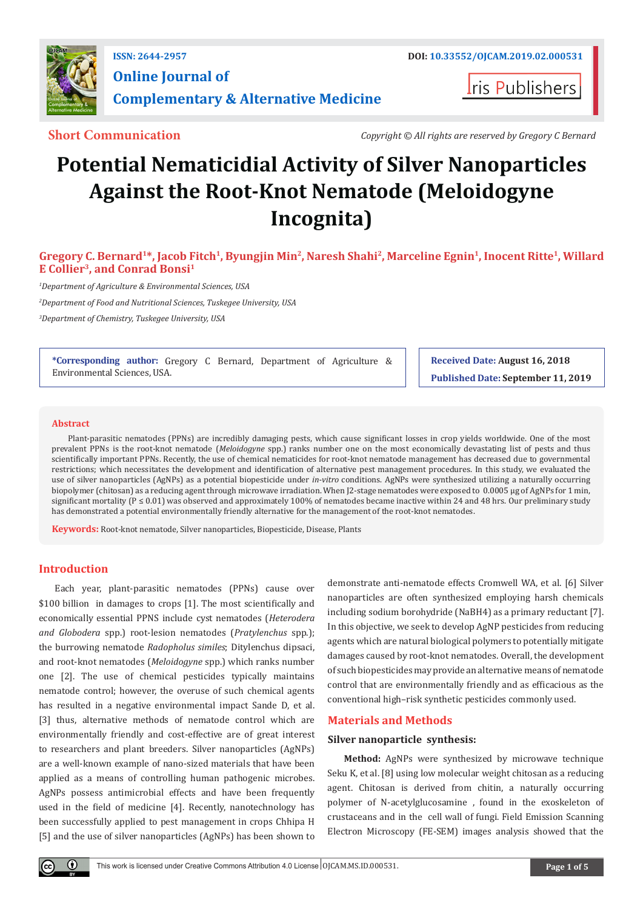

**Iris Publishers** 

**Short Communication** *Copyright © All rights are reserved by Gregory C Bernard*

# **Potential Nematicidial Activity of Silver Nanoparticles Against the Root-Knot Nematode (Meloidogyne Incognita)**

**Gregory C. Bernard1\*, Jacob Fitch1, Byungjin Min2, Naresh Shahi2, Marceline Egnin1, Inocent Ritte1, Willard E Collier3, and Conrad Bonsi1**

*1 Department of Agriculture & Environmental Sciences, USA*

*2 Department of Food and Nutritional Sciences, Tuskegee University, USA*

*3 Department of Chemistry, Tuskegee University, USA*

**\*Corresponding author:** Gregory C Bernard, Department of Agriculture & Environmental Sciences, USA.

**Received Date: August 16, 2018**

**Published Date: September 11, 2019**

#### **Abstract**

Plant-parasitic nematodes (PPNs) are incredibly damaging pests, which cause significant losses in crop yields worldwide. One of the most prevalent PPNs is the root-knot nematode (*Meloidogyne* spp.) ranks number one on the most economically devastating list of pests and thus scientifically important PPNs. Recently, the use of chemical nematicides for root-knot nematode management has decreased due to governmental restrictions; which necessitates the development and identification of alternative pest management procedures. In this study, we evaluated the use of silver nanoparticles (AgNPs) as a potential biopesticide under *in-vitro* conditions. AgNPs were synthesized utilizing a naturally occurring biopolymer (chitosan) as a reducing agent through microwave irradiation. When J2-stage nematodes were exposed to 0.0005 μg of AgNPs for 1 min, significant mortality ( $P \le 0.01$ ) was observed and approximately 100% of nematodes became inactive within 24 and 48 hrs. Our preliminary study has demonstrated a potential environmentally friendly alternative for the management of the root-knot nematodes.

**Keywords:** Root-knot nematode, Silver nanoparticles, Biopesticide, Disease, Plants

# **Introduction**

Each year, plant-parasitic nematodes (PPNs) cause over \$100 billion in damages to crops [1]. The most scientifically and economically essential PPNS include cyst nematodes (*Heterodera and Globodera* spp.) root-lesion nematodes (*Pratylenchus* spp.); the burrowing nematode *Radopholus similes*; Ditylenchus dipsaci, and root-knot nematodes (*Meloidogyne* spp.) which ranks number one [2]. The use of chemical pesticides typically maintains nematode control; however, the overuse of such chemical agents has resulted in a negative environmental impact Sande D, et al. [3] thus, alternative methods of nematode control which are environmentally friendly and cost-effective are of great interest to researchers and plant breeders. Silver nanoparticles (AgNPs) are a well-known example of nano-sized materials that have been applied as a means of controlling human pathogenic microbes. AgNPs possess antimicrobial effects and have been frequently used in the field of medicine [4]. Recently, nanotechnology has been successfully applied to pest management in crops Chhipa H [5] and the use of silver nanoparticles (AgNPs) has been shown to

demonstrate anti-nematode effects Cromwell WA, et al. [6] Silver nanoparticles are often synthesized employing harsh chemicals including sodium borohydride (NaBH4) as a primary reductant [7]. In this objective, we seek to develop AgNP pesticides from reducing agents which are natural biological polymers to potentially mitigate damages caused by root-knot nematodes. Overall, the development of such biopesticides may provide an alternative means of nematode control that are environmentally friendly and as efficacious as the conventional high–risk synthetic pesticides commonly used.

#### **Materials and Methods**

# **Silver nanoparticle synthesis:**

**Method:** AgNPs were synthesized by microwave technique Seku K, et al. [8] using low molecular weight chitosan as a reducing agent. Chitosan is derived from chitin, a naturally occurring polymer of N-acetylglucosamine , found in the exoskeleton of crustaceans and in the cell wall of fungi. Field Emission Scanning Electron Microscopy (FE-SEM) images analysis showed that the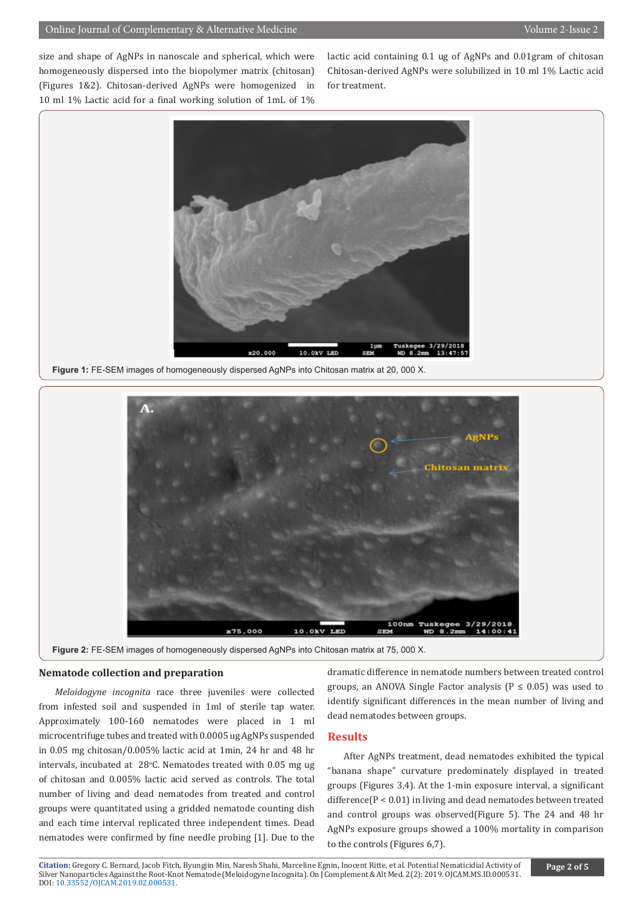size and shape of AgNPs in nanoscale and spherical, which were homogeneously dispersed into the biopolymer matrix (chitosan) (Figures 1&2). Chitosan-derived AgNPs were homogenized in 10 ml 1% Lactic acid for a final working solution of 1mL of 1%

lactic acid containing 0.1 ug of AgNPs and 0.01gram of chitosan Chitosan-derived AgNPs were solubilized in 10 ml 1% Lactic acid for treatment.



**Figure 1:** FE-SEM images of homogeneously dispersed AgNPs into Chitosan matrix at 20, 000 X.



**Figure 2:** FE-SEM images of homogeneously dispersed AgNPs into Chitosan matrix at 75, 000 X.

### **Nematode collection and preparation**

*Meloidogyne incognita* race three juveniles were collected from infested soil and suspended in 1ml of sterile tap water. Approximately 100-160 nematodes were placed in 1 ml microcentrifuge tubes and treated with 0.0005 ug AgNPs suspended in 0.05 mg chitosan/0.005% lactic acid at 1min, 24 hr and 48 hr intervals, incubated at  $28^{\circ}$ C. Nematodes treated with 0.05 mg ug of chitosan and 0.005% lactic acid served as controls. The total number of living and dead nematodes from treated and control groups were quantitated using a gridded nematode counting dish and each time interval replicated three independent times. Dead nematodes were confirmed by fine needle probing [1]. Due to the

dramatic difference in nematode numbers between treated control groups, an ANOVA Single Factor analysis ( $P \le 0.05$ ) was used to identify significant differences in the mean number of living and dead nematodes between groups.

# **Results**

After AgNPs treatment, dead nematodes exhibited the typical "banana shape" curvature predominately displayed in treated groups (Figures 3,4). At the 1-min exposure interval, a significant difference(P < 0.01) in living and dead nematodes between treated and control groups was observed(Figure 5). The 24 and 48 hr AgNPs exposure groups showed a 100% mortality in comparison to the controls (Figures 6,7).

**Citation:** Gregory C. Bernard, Jacob Fitch, Byungjin Min, Naresh Shahi, Marceline Egnin, Inocent Ritte, et al. Potential Nematicidial Activity of Silve[r Nanoparticles Against the Root-Kn](http://dx.doi.org/10.33552/OJCAM.2019.02.000531)ot Nematode (Meloidogyne Incognita). On J Complement & Alt Med. 2(2): 2019. OJCAM.MS.ID.000531. DOI: 10.33552/OJCAM.2019.02.000531.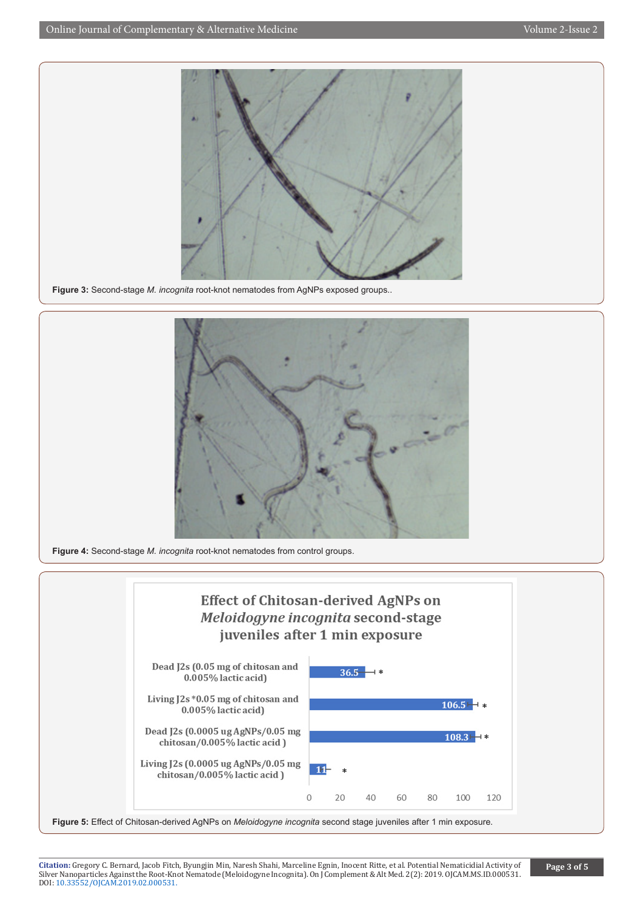

**Figure 3:** Second-stage *M. incognita* root-knot nematodes from AgNPs exposed groups..



**Figure 4:** Second-stage *M. incognita* root-knot nematodes from control groups.



**Citation:** Gregory C. Bernard, Jacob Fitch, Byungjin Min, Naresh Shahi, Marceline Egnin, Inocent Ritte, et al. Potential Nematicidial Activity of Silve[r Nanoparticles Against the Root-Kn](http://dx.doi.org/10.33552/OJCAM.2019.02.000531)ot Nematode (Meloidogyne Incognita). On J Complement & Alt Med. 2(2): 2019. OJCAM.MS.ID.000531. DOI: 10.33552/OJCAM.2019.02.000531.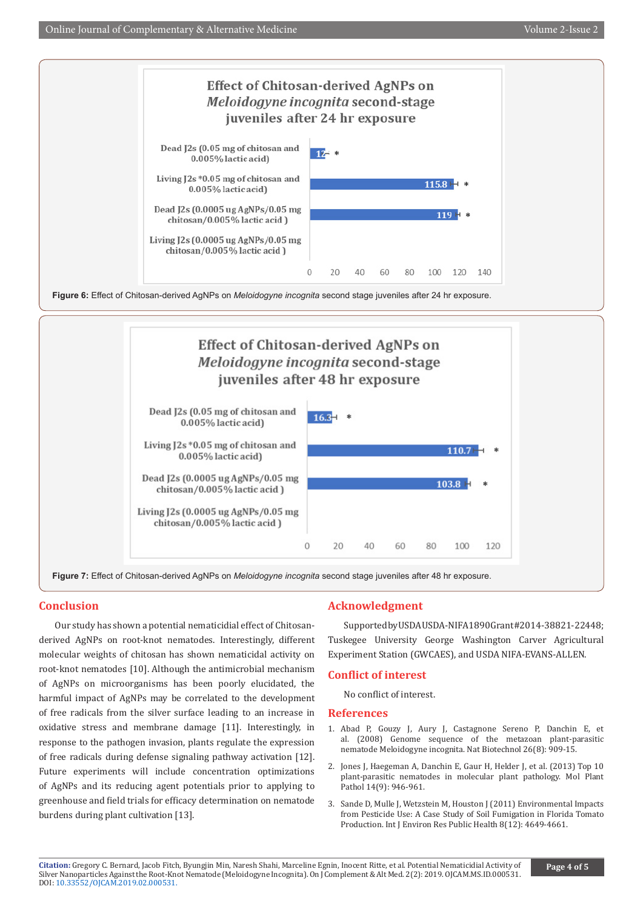

**Figure 7:** Effect of Chitosan-derived AgNPs on *Meloidogyne incognita* second stage juveniles after 48 hr exposure.

 $\Omega$ 

20

chitosan/0.005% lactic acid)

# **Conclusion**

Our study has shown a potential nematicidial effect of Chitosanderived AgNPs on root-knot nematodes. Interestingly, different molecular weights of chitosan has shown nematicidal activity on root-knot nematodes [10]. Although the antimicrobial mechanism of AgNPs on microorganisms has been poorly elucidated, the harmful impact of AgNPs may be correlated to the development of free radicals from the silver surface leading to an increase in oxidative stress and membrane damage [11]. Interestingly, in response to the pathogen invasion, plants regulate the expression of free radicals during defense signaling pathway activation [12]. Future experiments will include concentration optimizations of AgNPs and its reducing agent potentials prior to applying to greenhouse and field trials for efficacy determination on nematode burdens during plant cultivation [13].

# **Acknowledgment**

 $40$ 

60

80

Supported by USDA USDA-NIFA 1890 Grant#2014-38821-22448; Tuskegee University George Washington Carver Agricultural Experiment Station (GWCAES), and USDA NIFA-EVANS-ALLEN.

100

120

# **Conflict of interest**

No conflict of interest.

# **References**

- 1. [Abad P, Gouzy J, Aury J, Castagnone Sereno P, Danchin E, et](https://www.ncbi.nlm.nih.gov/pubmed/18660804) [al. \(2008\) Genome sequence of the metazoan plant-parasitic](https://www.ncbi.nlm.nih.gov/pubmed/18660804) nematode [Meloidogyne incognita. Nat Biotechnol](https://www.ncbi.nlm.nih.gov/pubmed/18660804) 26(8): 909-15.
- 2. [Jones J, Haegeman A, Danchin E, Gaur H, Helder J, et al. \(2013\) Top 10](https://www.ncbi.nlm.nih.gov/pubmed/23809086) [plant-parasitic nematodes in molecular plant pathology. Mol Plant](https://www.ncbi.nlm.nih.gov/pubmed/23809086) [Pathol 14\(9\): 946-961.](https://www.ncbi.nlm.nih.gov/pubmed/23809086)
- 3. [Sande D, Mulle J, Wetzstein M, Houston J \(2011\) Environmental Impacts](https://www.ncbi.nlm.nih.gov/pubmed/22408594) [from Pesticide Use: A Case Study of Soil Fumigation in Florida Tomato](https://www.ncbi.nlm.nih.gov/pubmed/22408594) [Production. Int J Environ Res Public Health 8\(12\): 4649-4661.](https://www.ncbi.nlm.nih.gov/pubmed/22408594)